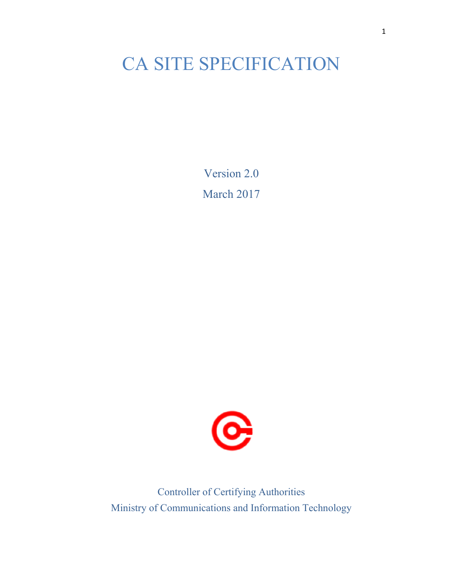# CA SITE SPECIFICATION

Version 2.0 March 2017



Controller of Certifying Authorities Ministry of Communications and Information Technology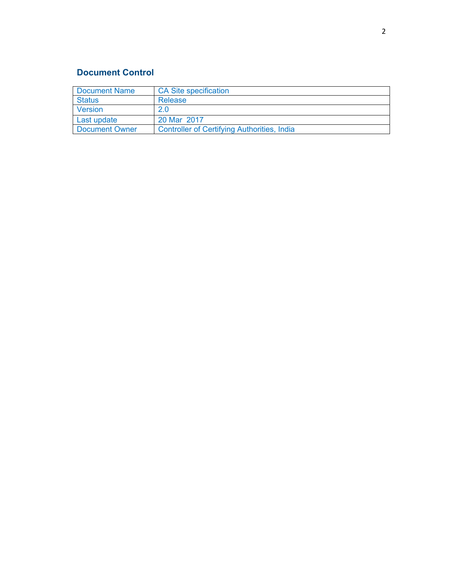# **Document Control**

| Document Name  | <b>CA Site specification</b>                |  |
|----------------|---------------------------------------------|--|
| <b>Status</b>  | Release                                     |  |
| Version        | 2.0                                         |  |
| Last update    | 20 Mar 2017                                 |  |
| Document Owner | Controller of Certifying Authorities, India |  |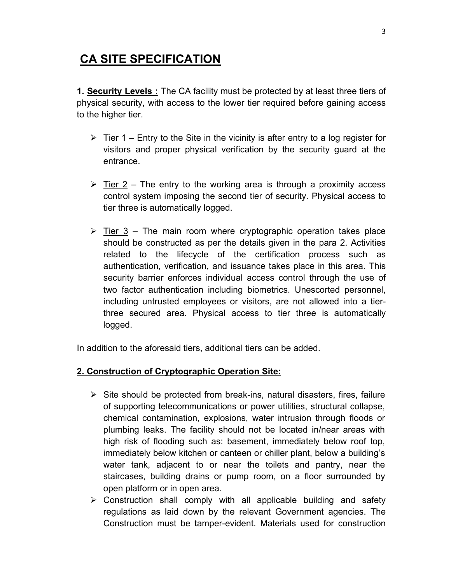# **CA SITE SPECIFICATION**

**1. Security Levels :** The CA facility must be protected by at least three tiers of physical security, with access to the lower tier required before gaining access to the higher tier.

- $\triangleright$  Tier 1 Entry to the Site in the vicinity is after entry to a log register for visitors and proper physical verification by the security guard at the entrance.
- $\triangleright$  Tier 2 The entry to the working area is through a proximity access control system imposing the second tier of security. Physical access to tier three is automatically logged.
- $\geq$  Tier 3 The main room where cryptographic operation takes place should be constructed as per the details given in the para 2. Activities related to the lifecycle of the certification process such as authentication, verification, and issuance takes place in this area. This security barrier enforces individual access control through the use of two factor authentication including biometrics. Unescorted personnel, including untrusted employees or visitors, are not allowed into a tierthree secured area. Physical access to tier three is automatically logged.

In addition to the aforesaid tiers, additional tiers can be added.

## **2. Construction of Cryptographic Operation Site:**

- $\triangleright$  Site should be protected from break-ins, natural disasters, fires, failure of supporting telecommunications or power utilities, structural collapse, chemical contamination, explosions, water intrusion through floods or plumbing leaks. The facility should not be located in/near areas with high risk of flooding such as: basement, immediately below roof top, immediately below kitchen or canteen or chiller plant, below a building's water tank, adjacent to or near the toilets and pantry, near the staircases, building drains or pump room, on a floor surrounded by open platform or in open area.
- $\triangleright$  Construction shall comply with all applicable building and safety regulations as laid down by the relevant Government agencies. The Construction must be tamper-evident. Materials used for construction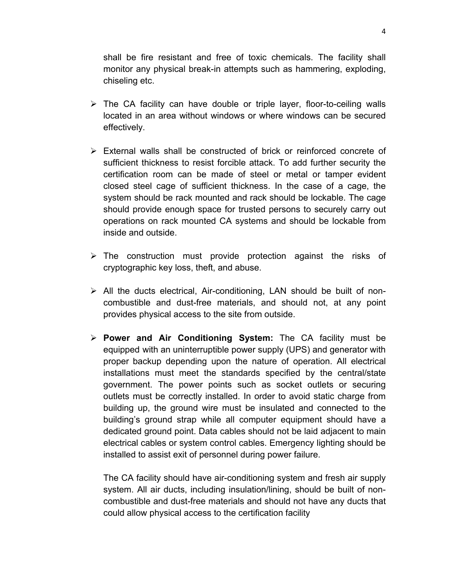shall be fire resistant and free of toxic chemicals. The facility shall monitor any physical break-in attempts such as hammering, exploding, chiseling etc.

- $\triangleright$  The CA facility can have double or triple layer, floor-to-ceiling walls located in an area without windows or where windows can be secured effectively.
- $\triangleright$  External walls shall be constructed of brick or reinforced concrete of sufficient thickness to resist forcible attack. To add further security the certification room can be made of steel or metal or tamper evident closed steel cage of sufficient thickness. In the case of a cage, the system should be rack mounted and rack should be lockable. The cage should provide enough space for trusted persons to securely carry out operations on rack mounted CA systems and should be lockable from inside and outside.
- $\triangleright$  The construction must provide protection against the risks of cryptographic key loss, theft, and abuse.
- $\triangleright$  All the ducts electrical, Air-conditioning, LAN should be built of noncombustible and dust-free materials, and should not, at any point provides physical access to the site from outside.
- **Power and Air Conditioning System:** The CA facility must be equipped with an uninterruptible power supply (UPS) and generator with proper backup depending upon the nature of operation. All electrical installations must meet the standards specified by the central/state government. The power points such as socket outlets or securing outlets must be correctly installed. In order to avoid static charge from building up, the ground wire must be insulated and connected to the building's ground strap while all computer equipment should have a dedicated ground point. Data cables should not be laid adjacent to main electrical cables or system control cables. Emergency lighting should be installed to assist exit of personnel during power failure.

The CA facility should have air-conditioning system and fresh air supply system. All air ducts, including insulation/lining, should be built of noncombustible and dust-free materials and should not have any ducts that could allow physical access to the certification facility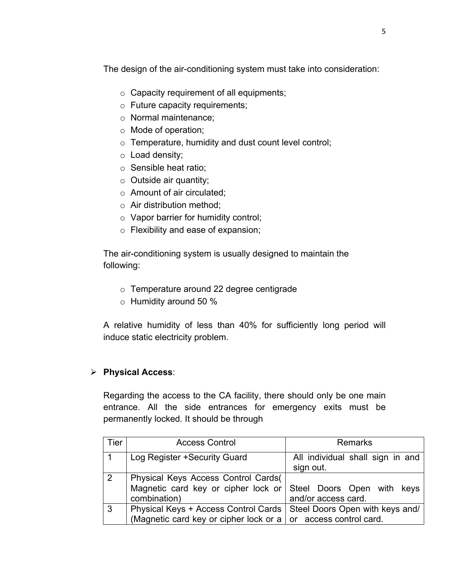The design of the air-conditioning system must take into consideration:

- $\circ$  Capacity requirement of all equipments;
- o Future capacity requirements;
- o Normal maintenance;
- o Mode of operation;
- o Temperature, humidity and dust count level control;
- o Load density;
- o Sensible heat ratio;
- $\circ$  Outside air quantity;
- o Amount of air circulated;
- o Air distribution method;
- o Vapor barrier for humidity control;
- o Flexibility and ease of expansion;

The air-conditioning system is usually designed to maintain the following:

- o Temperature around 22 degree centigrade
- o Humidity around 50 %

A relative humidity of less than 40% for sufficiently long period will induce static electricity problem.

# **Physical Access**:

Regarding the access to the CA facility, there should only be one main entrance. All the side entrances for emergency exits must be permanently locked. It should be through

| <b>Tier</b>    | <b>Access Control</b>                                                                                                                      | <b>Remarks</b>                                |
|----------------|--------------------------------------------------------------------------------------------------------------------------------------------|-----------------------------------------------|
|                | Log Register +Security Guard                                                                                                               | All individual shall sign in and<br>sign out. |
| $\overline{2}$ | Physical Keys Access Control Cards(<br>Magnetic card key or cipher lock or Steel Doors Open with keys<br>combination)                      | and/or access card.                           |
| 3              | Physical Keys + Access Control Cards   Steel Doors Open with keys and/<br>(Magnetic card key or cipher lock or a   or access control card. |                                               |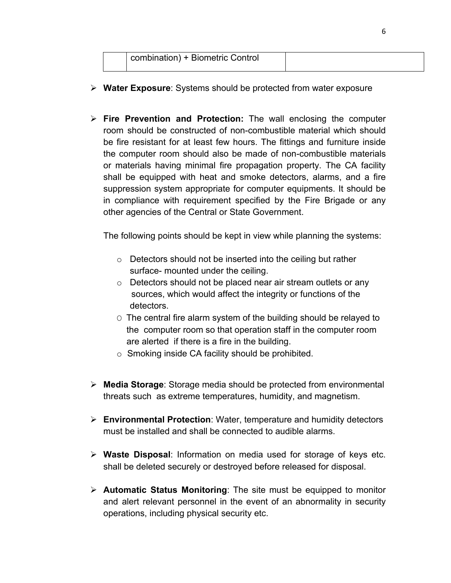|  | combination) + Biometric Control |  |
|--|----------------------------------|--|
|  |                                  |  |

- **Water Exposure**: Systems should be protected from water exposure
- **Fire Prevention and Protection:** The wall enclosing the computer room should be constructed of non-combustible material which should be fire resistant for at least few hours. The fittings and furniture inside the computer room should also be made of non-combustible materials or materials having minimal fire propagation property. The CA facility shall be equipped with heat and smoke detectors, alarms, and a fire suppression system appropriate for computer equipments. It should be in compliance with requirement specified by the Fire Brigade or any other agencies of the Central or State Government.

The following points should be kept in view while planning the systems:

- o Detectors should not be inserted into the ceiling but rather surface- mounted under the ceiling.
- o Detectors should not be placed near air stream outlets or any sources, which would affect the integrity or functions of the detectors.
- O The central fire alarm system of the building should be relayed to the computer room so that operation staff in the computer room are alerted if there is a fire in the building.
- $\circ$  Smoking inside CA facility should be prohibited.
- **Media Storage**: Storage media should be protected from environmental threats such as extreme temperatures, humidity, and magnetism.
- **Environmental Protection**: Water, temperature and humidity detectors must be installed and shall be connected to audible alarms.
- **Waste Disposal**: Information on media used for storage of keys etc. shall be deleted securely or destroyed before released for disposal.
- **Automatic Status Monitoring**: The site must be equipped to monitor and alert relevant personnel in the event of an abnormality in security operations, including physical security etc.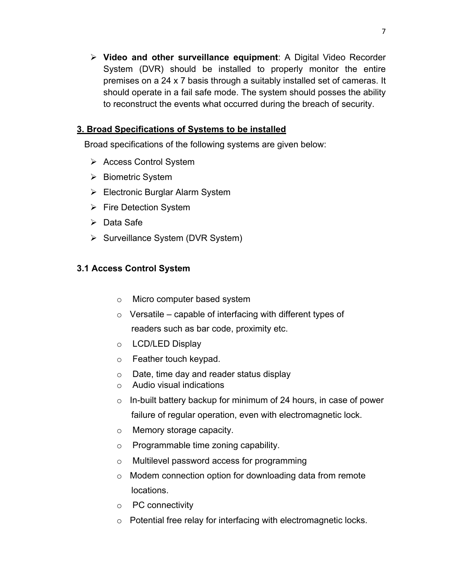**Video and other surveillance equipment**: A Digital Video Recorder System (DVR) should be installed to properly monitor the entire premises on a 24 x 7 basis through a suitably installed set of cameras. It should operate in a fail safe mode. The system should posses the ability to reconstruct the events what occurred during the breach of security.

# **3. Broad Specifications of Systems to be installed**

Broad specifications of the following systems are given below:

- **▶ Access Control System**
- $\triangleright$  Biometric System
- Electronic Burglar Alarm System
- $\triangleright$  Fire Detection System
- $\triangleright$  Data Safe
- $\triangleright$  Surveillance System (DVR System)

# **3.1 Access Control System**

- o Micro computer based system
- $\circ$  Versatile capable of interfacing with different types of readers such as bar code, proximity etc.
- o LCD/LED Display
- o Feather touch keypad.
- o Date, time day and reader status display
- o Audio visual indications
- $\circ$  In-built battery backup for minimum of 24 hours, in case of power failure of regular operation, even with electromagnetic lock.
- o Memory storage capacity.
- o Programmable time zoning capability.
- o Multilevel password access for programming
- o Modem connection option for downloading data from remote locations.
- o PC connectivity
- o Potential free relay for interfacing with electromagnetic locks.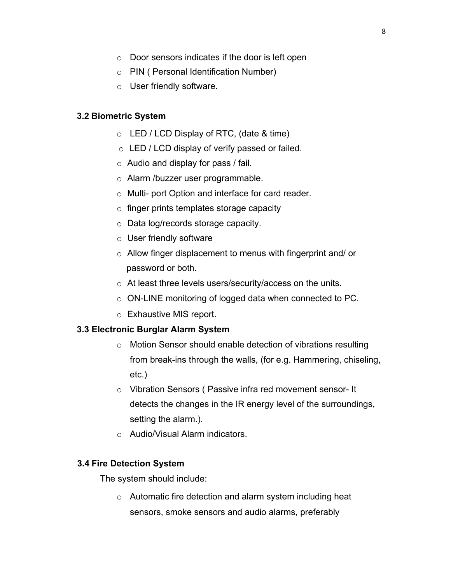- o Door sensors indicates if the door is left open
- o PIN ( Personal Identification Number)
- o User friendly software.

### **3.2 Biometric System**

- $\circ$  LED / LCD Display of RTC, (date & time)
- o LED / LCD display of verify passed or failed.
- $\circ$  Audio and display for pass / fail.
- o Alarm /buzzer user programmable.
- o Multi- port Option and interface for card reader.
- o finger prints templates storage capacity
- o Data log/records storage capacity.
- o User friendly software
- o Allow finger displacement to menus with fingerprint and/ or password or both.
- o At least three levels users/security/access on the units.
- o ON-LINE monitoring of logged data when connected to PC.
- o Exhaustive MIS report.

#### **3.3 Electronic Burglar Alarm System**

- o Motion Sensor should enable detection of vibrations resulting from break-ins through the walls, (for e.g. Hammering, chiseling, etc.)
- o Vibration Sensors ( Passive infra red movement sensor- It detects the changes in the IR energy level of the surroundings, setting the alarm.).
- o Audio/Visual Alarm indicators.

#### **3.4 Fire Detection System**

The system should include:

o Automatic fire detection and alarm system including heat sensors, smoke sensors and audio alarms, preferably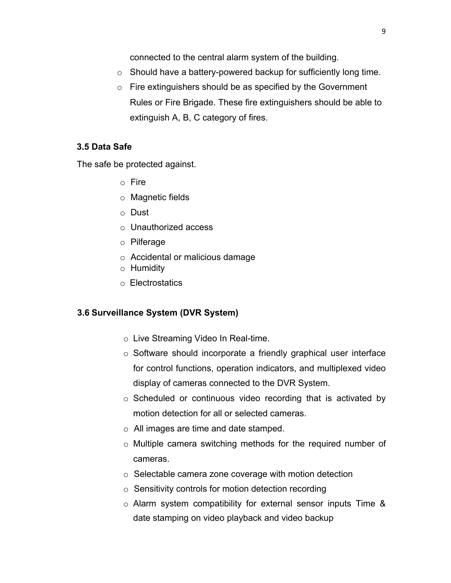connected to the central alarm system of the building.

- o Should have a battery-powered backup for sufficiently long time.
- $\circ$  Fire extinguishers should be as specified by the Government Rules or Fire Brigade. These fire extinguishers should be able to extinguish A, B, C category of fires.

### **3.5 Data Safe**

The safe be protected against.

- o Fire
- o Magnetic fields
- o Dust
- o Unauthorized access
- o Pilferage
- o Accidental or malicious damage
- o Humidity
- o Electrostatics

#### **3.6 Surveillance System (DVR System)**

- o Live Streaming Video In Real-time.
- o Software should incorporate a friendly graphical user interface for control functions, operation indicators, and multiplexed video display of cameras connected to the DVR System.
- o Scheduled or continuous video recording that is activated by motion detection for all or selected cameras.
- o All images are time and date stamped.
- o Multiple camera switching methods for the required number of cameras.
- o Selectable camera zone coverage with motion detection
- o Sensitivity controls for motion detection recording
- o Alarm system compatibility for external sensor inputs Time & date stamping on video playback and video backup